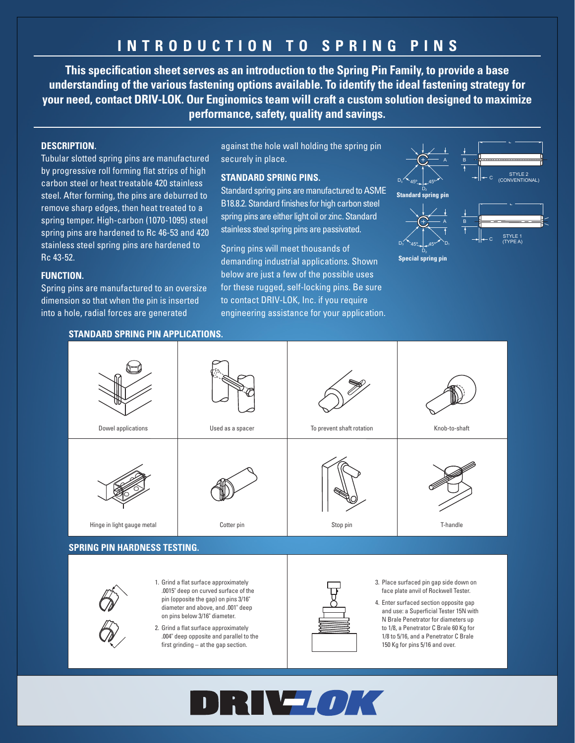# **INTRODUCTION TO SPRING PINS**

**This specification sheet serves as an introduction to the Spring Pin Family, to provide a base understanding of the various fastening options available. To identify the ideal fastening strategy for your need, contact DRIV-LOK. Our Enginomics team will craft a custom solution designed to maximize performance, safety, quality and savings.**

# **DESCRIPTION.**

Tubular slotted spring pins are manufactured by progressive roll forming flat strips of high carbon steel or heat treatable 420 stainless steel. After forming, the pins are deburred to remove sharp edges, then heat treated to a spring temper. High-carbon (1070-1095) steel spring pins are hardened to Rc 46-53 and 420 stainless steel spring pins are hardened to Rc 43-52.

## **FUNCTION.**

Spring pins are manufactured to an oversize dimension so that when the pin is inserted into a hole, radial forces are generated

against the hole wall holding the spring pin securely in place.

# **STANDARD SPRING PINS.**

Standard spring pins are manufactured to ASME B18.8.2. Standard finishes for high carbon steel spring pins are either light oil or zinc. Standard stainless steel spring pins are passivated.

Spring pins will meet thousands of demanding industrial applications. Shown below are just a few of the possible uses for these rugged, self-locking pins. Be sure to contact DRIV-LOK, Inc. if you require engineering assistance for your application.



40º MIN.



#### **STANDARD SPRING PIN APPLICATIONS.**



### **SPRING PIN HARDNESS TESTING.**



- 1. Grind a flat surface approximately .0015" deep on curved surface of the pin (opposite the gap) on pins 3/16" diameter and above, and 001" deep on pins below 3/16" diameter.
- 2. Grind a flat surface approximately .004" deep opposite and parallel to the first grinding – at the gap section.



- 3. Place surfaced pin gap side down on face plate anvil of Rockwell Tester.
- 4. Enter surfaced section opposite gap and use: a Superficial Tester 15N with N Brale Penetrator for diameters up to 1/8, a Penetrator C Brale 60 Kg for 1/8 to 5/16, and a Penetrator C Brale 150 Kg for pins 5/16 and over.